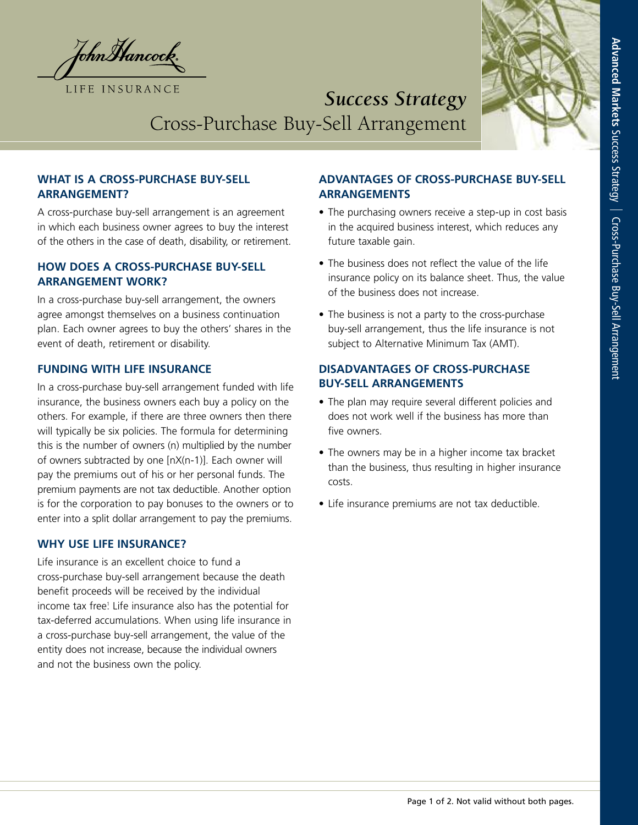JohnHancock. LIFE INSURANCE



# *Success Strategy* Cross-Purchase Buy-Sell Arrangement

## **WHAT IS A CROSS-PURCHASE BUY-SELL ARRANGEMENT?**

A cross-purchase buy-sell arrangement is an agreement in which each business owner agrees to buy the interest of the others in the case of death, disability, or retirement.

#### **HOW DOES A CROSS-PURCHASE BUY-SELL ARRANGEMENT WORK?**

In a cross-purchase buy-sell arrangement, the owners agree amongst themselves on a business continuation plan. Each owner agrees to buy the others' shares in the event of death, retirement or disability.

#### **FUNDING WITH LIFE INSURANCE**

In a cross-purchase buy-sell arrangement funded with life insurance, the business owners each buy a policy on the others. For example, if there are three owners then there will typically be six policies. The formula for determining this is the number of owners (n) multiplied by the number of owners subtracted by one [nX(n-1)]. Each owner will pay the premiums out of his or her personal funds. The premium payments are not tax deductible. Another option is for the corporation to pay bonuses to the owners or to enter into a split dollar arrangement to pay the premiums.

#### **WHY USE LIFE INSURANCE?**

Life insurance is an excellent choice to fund a cross-purchase buy-sell arrangement because the death benefit proceeds will be received by the individual income tax free! Life insurance also has the potential for tax-deferred accumulations. When using life insurance in a cross-purchase buy-sell arrangement, the value of the entity does not increase, because the individual owners and not the business own the policy.

# **ADVANTAGES OF CROSS-PURCHASE BUY-SELL ARRANGEMENTS**

- The purchasing owners receive a step-up in cost basis in the acquired business interest, which reduces any future taxable gain.
- The business does not reflect the value of the life insurance policy on its balance sheet. Thus, the value of the business does not increase.
- The business is not a party to the cross-purchase buy-sell arrangement, thus the life insurance is not subject to Alternative Minimum Tax (AMT).

## **DISADVANTAGES OF CROSS-PURCHASE BUY-SELL ARRANGEMENTS**

- The plan may require several different policies and does not work well if the business has more than five owners.
- The owners may be in a higher income tax bracket than the business, thus resulting in higher insurance costs.
- Life insurance premiums are not tax deductible.